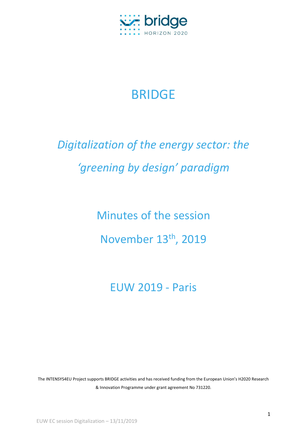

## BRIDGE

## *Digitalization of the energy sector: the 'greening by design' paradigm*

Minutes of the session November 13th, 2019

EUW 2019 - Paris

The INTENSYS4EU Project supports BRIDGE activities and has received funding from the European Union's H2020 Research & Innovation Programme under grant agreement No 731220.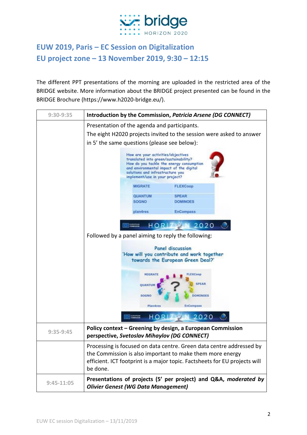

## **EUW 2019, Paris – EC Session on Digitalization EU project zone – 13 November 2019, 9:30 – 12:15**

The different PPT presentations of the morning are uploaded in the restricted area of the BRIDGE website. More information about the BRIDGE project presented can be found in the BRIDGE Brochure (https://www.h2020-bridge.eu/).

| 9:30-9:35    |                                                                                                                                                                                                                                          | Introduction by the Commission, Patricia Arsene (DG CONNECT)               |  |
|--------------|------------------------------------------------------------------------------------------------------------------------------------------------------------------------------------------------------------------------------------------|----------------------------------------------------------------------------|--|
|              | Presentation of the agenda and participants.                                                                                                                                                                                             |                                                                            |  |
|              | The eight H2020 projects invited to the session were asked to answer                                                                                                                                                                     |                                                                            |  |
|              | in 5' the same questions (please see below):                                                                                                                                                                                             |                                                                            |  |
|              | How are your activities/objectives<br>translated into green/sustainability?<br>How do you tackle the energy consumption<br>and environmental impact of the digital<br>solutions and infrastructure you<br>implement/use in your project? |                                                                            |  |
|              | <b>MIGRATE</b>                                                                                                                                                                                                                           | <b>FLEXCoop</b>                                                            |  |
|              | <b>QUANTUM</b>                                                                                                                                                                                                                           | <b>SPEAR</b>                                                               |  |
|              | <b>SOGNO</b>                                                                                                                                                                                                                             | <b>DOMINOES</b>                                                            |  |
|              | plan4res                                                                                                                                                                                                                                 | <b>EnCompass</b>                                                           |  |
|              |                                                                                                                                                                                                                                          |                                                                            |  |
|              | <b>LUXUPEAN</b><br>HOR                                                                                                                                                                                                                   | 2020                                                                       |  |
|              | Followed by a panel aiming to reply the following:                                                                                                                                                                                       |                                                                            |  |
|              |                                                                                                                                                                                                                                          |                                                                            |  |
|              | <b>Panel discussion</b><br>'How will you contribute and work together<br>towards the European Green Deal?'                                                                                                                               |                                                                            |  |
|              | MIGRATI<br>QUANTUI                                                                                                                                                                                                                       | <b>FLEXCoop</b><br><b>SPEAR</b>                                            |  |
|              | SOGNO                                                                                                                                                                                                                                    | <b>DOMINOES</b>                                                            |  |
|              | <b>Plan4res</b>                                                                                                                                                                                                                          | <b>EnCompass</b>                                                           |  |
|              | <b>EUROPEAN</b><br>HOR                                                                                                                                                                                                                   | 2020                                                                       |  |
|              | Policy context - Greening by design, a European Commission                                                                                                                                                                               |                                                                            |  |
| $9:35-9:45$  | perspective, Svetoslav Mihaylov (DG CONNECT)                                                                                                                                                                                             |                                                                            |  |
|              |                                                                                                                                                                                                                                          | Processing is focused on data centre. Green data centre addressed by       |  |
|              |                                                                                                                                                                                                                                          | the Commission is also important to make them more energy                  |  |
|              |                                                                                                                                                                                                                                          | efficient. ICT footprint is a major topic. Factsheets for EU projects will |  |
|              | be done.                                                                                                                                                                                                                                 |                                                                            |  |
| $9:45-11:05$ | <b>Olivier Genest (WG Data Management)</b>                                                                                                                                                                                               | Presentations of projects (5' per project) and Q&A, moderated by           |  |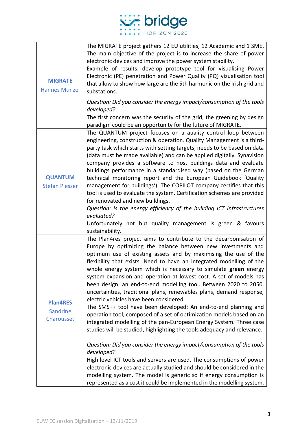

| <b>MIGRATE</b><br><b>Hannes Munzel</b>    | The MIGRATE project gathers 12 EU utilities, 12 Academic and 1 SME.<br>The main objective of the project is to increase the share of power<br>electronic devices and improve the power system stability.<br>Example of results: develop prototype tool for visualising Power<br>Electronic (PE) penetration and Power Quality (PQ) vizualisation tool<br>that allow to show how large are the 5th harmonic on the Irish grid and<br>substations.<br>Question: Did you consider the energy impact/consumption of the tools<br>developed?<br>The first concern was the security of the grid, the greening by design                                                                                                                                                                                                                                                                                                                                                                                                                                                                                                                                                                                                                                                                                 |
|-------------------------------------------|---------------------------------------------------------------------------------------------------------------------------------------------------------------------------------------------------------------------------------------------------------------------------------------------------------------------------------------------------------------------------------------------------------------------------------------------------------------------------------------------------------------------------------------------------------------------------------------------------------------------------------------------------------------------------------------------------------------------------------------------------------------------------------------------------------------------------------------------------------------------------------------------------------------------------------------------------------------------------------------------------------------------------------------------------------------------------------------------------------------------------------------------------------------------------------------------------------------------------------------------------------------------------------------------------|
| <b>QUANTUM</b><br><b>Stefan Plesser</b>   | paradigm could be an opportunity for the future of MIGRATE.<br>The QUANTUM project focuses on a auality control loop between<br>engineering, construction & operation. Quality Management is a third-<br>party task which starts with setting targets, needs to be based on data<br>(data must be made available) and can be applied digitally. Synavision<br>company provides a software to host buildings data and evaluate<br>buildings performance in a standardised way (based on the German<br>technical monitoring report and the European Guidebook 'Quality<br>management for buildings'). The COPILOT company certifies that this<br>tool is used to evaluate the system. Certification schemes are provided<br>for renovated and new buildings.<br>Question: Is the energy efficiency of the building ICT infrastructures<br>evaluated?<br>Unfortunately not but quality management is green & favours<br>sustainability.                                                                                                                                                                                                                                                                                                                                                              |
| <b>Plan4RES</b><br>Sandrine<br>Charousset | The Plan4res project aims to contribute to the decarbonisation of<br>Europe by optimizing the balance between new investments and<br>optimum use of existing assets and by maximising the use of the<br>flexibility that exists. Need to have an integrated modelling of the<br>whole energy system which is necessary to simulate green energy<br>system expansion and operation at lowest cost. A set of models has<br>been design: an end-to-end modelling tool. Between 2020 to 2050,<br>uncertainties, traditional plans, renewables plans, demand response,<br>electric vehicles have been considered.<br>The SMS++ tool have been developed: An end-to-end planning and<br>operation tool, composed of a set of optimization models based on an<br>integrated modelling of the pan-European Energy System. Three case<br>studies will be studied, highlighting the tools adequacy and relevance.<br>Question: Did you consider the energy impact/consumption of the tools<br>developed?<br>High level ICT tools and servers are used. The consumptions of power<br>electronic devices are actually studied and should be considered in the<br>modelling system. The model is generic so if energy consumption is<br>represented as a cost it could be implemented in the modelling system. |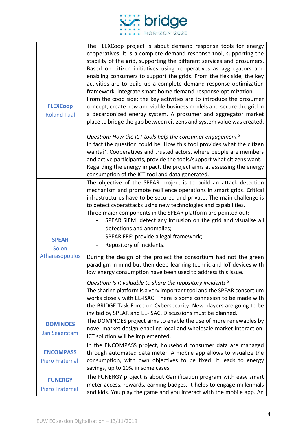

| <b>FLEXCoop</b><br><b>Roland Tual</b>   | The FLEXCoop project is about demand response tools for energy<br>cooperatives: it is a complete demand response tool, supporting the<br>stability of the grid, supporting the different services and prosumers.<br>Based on citizen initiatives using cooperatives as aggregators and<br>enabling consumers to support the grids. From the flex side, the key<br>activities are to build up a complete demand response optimization<br>framework, integrate smart home demand-response optimization.<br>From the coop side: the key activities are to introduce the prosumer<br>concept, create new and viable business models and secure the grid in<br>a decarbonized energy system. A prosumer and aggregator market<br>place to bridge the gap between citizens and system value was created. |
|-----------------------------------------|----------------------------------------------------------------------------------------------------------------------------------------------------------------------------------------------------------------------------------------------------------------------------------------------------------------------------------------------------------------------------------------------------------------------------------------------------------------------------------------------------------------------------------------------------------------------------------------------------------------------------------------------------------------------------------------------------------------------------------------------------------------------------------------------------|
|                                         | Question: How the ICT tools help the consumer engagement?<br>In fact the question could be 'How this tool provides what the citizen<br>wants?'. Cooperatives and trusted actors, where people are members<br>and active participants, provide the tools/support what citizens want.<br>Regarding the energy impact, the project aims at assessing the energy<br>consumption of the ICT tool and data generated.                                                                                                                                                                                                                                                                                                                                                                                    |
| <b>SPEAR</b><br>Solon<br>Athanasopoulos | The objective of the SPEAR project is to build an attack detection<br>mechanism and promote resilience operations in smart grids. Critical<br>infrastructures have to be secured and private. The main challenge is<br>to detect cyberattacks using new technologies and capabilities.<br>Three major components in the SPEAR platform are pointed out:<br>SPEAR SIEM: detect any intrusion on the grid and visualise all<br>detections and anomalies;<br>SPEAR FRF: provide a legal framework;<br>Repository of incidents.<br>$\overline{\phantom{0}}$                                                                                                                                                                                                                                            |
|                                         | During the design of the project the consortium had not the green<br>paradigm in mind but then deep-learning technic and IoT devices with<br>low energy consumption have been used to address this issue.                                                                                                                                                                                                                                                                                                                                                                                                                                                                                                                                                                                          |
|                                         | Question: Is it valuable to share the repository incidents?<br>The sharing platform is a very important tool and the SPEAR consortium<br>works closely with EE-ISAC. There is some connexion to be made with<br>the BRIDGE Task Force on Cybersecurity. New players are going to be<br>invited by SPEAR and EE-ISAC. Discussions must be planned.                                                                                                                                                                                                                                                                                                                                                                                                                                                  |
| <b>DOMINOES</b><br>Jan Segerstam        | The DOMINOES project aims to enable the use of more renewables by<br>novel market design enabling local and wholesale market interaction.<br>ICT solution will be implemented.                                                                                                                                                                                                                                                                                                                                                                                                                                                                                                                                                                                                                     |
| <b>ENCOMPASS</b><br>Piero Fraternali    | In the ENCOMPASS project, household consumer data are managed<br>through automated data meter. A mobile app allows to visualize the<br>consumption, with own objectives to be fixed. It leads to energy<br>savings, up to 10% in some cases.                                                                                                                                                                                                                                                                                                                                                                                                                                                                                                                                                       |
| <b>FUNERGY</b><br>Piero Fraternali      | The FUNERGY project is about Gamification program with easy smart<br>meter access, rewards, earning badges. It helps to engage millennials<br>and kids. You play the game and you interact with the mobile app. An                                                                                                                                                                                                                                                                                                                                                                                                                                                                                                                                                                                 |